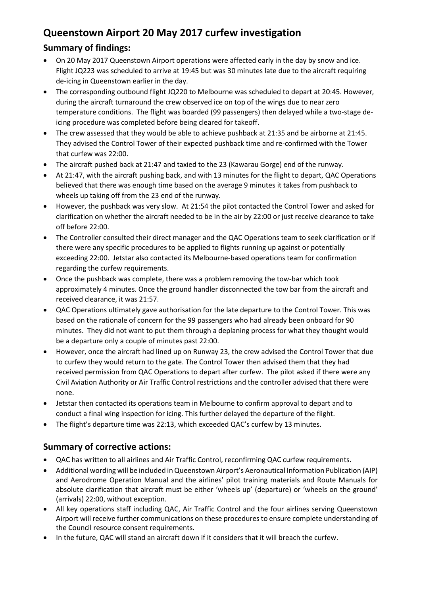## **Queenstown Airport 20 May 2017 curfew investigation**

## **Summary of findings:**

- On 20 May 2017 Queenstown Airport operations were affected early in the day by snow and ice. Flight JQ223 was scheduled to arrive at 19:45 but was 30 minutes late due to the aircraft requiring de-icing in Queenstown earlier in the day.
- The corresponding outbound flight JQ220 to Melbourne was scheduled to depart at 20:45. However, during the aircraft turnaround the crew observed ice on top of the wings due to near zero temperature conditions. The flight was boarded (99 passengers) then delayed while a two-stage deicing procedure was completed before being cleared for takeoff.
- The crew assessed that they would be able to achieve pushback at 21:35 and be airborne at 21:45. They advised the Control Tower of their expected pushback time and re-confirmed with the Tower that curfew was 22:00.
- The aircraft pushed back at 21:47 and taxied to the 23 (Kawarau Gorge) end of the runway.
- At 21:47, with the aircraft pushing back, and with 13 minutes for the flight to depart, QAC Operations believed that there was enough time based on the average 9 minutes it takes from pushback to wheels up taking off from the 23 end of the runway.
- However, the pushback was very slow. At 21:54 the pilot contacted the Control Tower and asked for clarification on whether the aircraft needed to be in the air by 22:00 or just receive clearance to take off before 22:00.
- The Controller consulted their direct manager and the QAC Operations team to seek clarification or if there were any specific procedures to be applied to flights running up against or potentially exceeding 22:00. Jetstar also contacted its Melbourne-based operations team for confirmation regarding the curfew requirements.
- Once the pushback was complete, there was a problem removing the tow-bar which took approximately 4 minutes. Once the ground handler disconnected the tow bar from the aircraft and received clearance, it was 21:57.
- QAC Operations ultimately gave authorisation for the late departure to the Control Tower. This was based on the rationale of concern for the 99 passengers who had already been onboard for 90 minutes. They did not want to put them through a deplaning process for what they thought would be a departure only a couple of minutes past 22:00.
- However, once the aircraft had lined up on Runway 23, the crew advised the Control Tower that due to curfew they would return to the gate. The Control Tower then advised them that they had received permission from QAC Operations to depart after curfew. The pilot asked if there were any Civil Aviation Authority or Air Traffic Control restrictions and the controller advised that there were none.
- Jetstar then contacted its operations team in Melbourne to confirm approval to depart and to conduct a final wing inspection for icing. This further delayed the departure of the flight.
- The flight's departure time was 22:13, which exceeded QAC's curfew by 13 minutes.

## **Summary of corrective actions:**

- QAC has written to all airlines and Air Traffic Control, reconfirming QAC curfew requirements.
- Additional wording will be included in Queenstown Airport's Aeronautical Information Publication (AIP) and Aerodrome Operation Manual and the airlines' pilot training materials and Route Manuals for absolute clarification that aircraft must be either 'wheels up' (departure) or 'wheels on the ground' (arrivals) 22:00, without exception.
- All key operations staff including QAC, Air Traffic Control and the four airlines serving Queenstown Airport will receive further communications on these procedures to ensure complete understanding of the Council resource consent requirements.
- In the future, QAC will stand an aircraft down if it considers that it will breach the curfew.